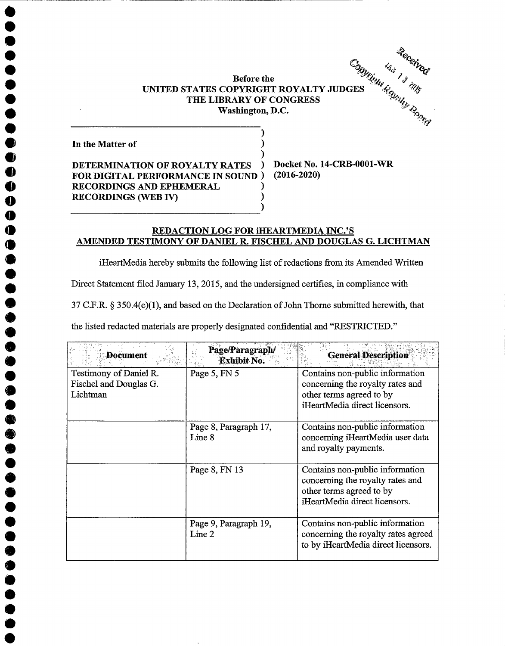Before the Before the<br>
UNITED STATES COPYRIGHT ROYALTY JUDGES<br>
THE LIBRARY OF CONGRESS<br>
THE LIBRARY OF CONGRESS<br>
TAND D.C. THE LIBRARY OF CONGRESS Washington, D.C.

)

In the Matter of

 $\bullet$  $\ddot{\bullet}$ 

 $\ddot{\bullet}$  $\ddot{\bullet}$  $\ddot{\bullet}$  $\check{\bullet}$  $\ddot{\bullet}$  $\ddot{\bullet}$ 

O 0 0

 $\ddot{\bullet}$ 

 $\ddot{\bullet}$ 

 $\ddot{\bullet}$ 

) DETERMINATION OF ROYALTY RATES ) Docket No. 14-CRB-0001-WR FOR DIGITAL PERFORMANCE IN SOUND ) RECORDINGS AND EPHEMERAL RECORDINGS (WEB IV) )

(2016-2020)

## REDACTION LOG FOR IHEARTMEDIA INC.'S AMENDED TESTIMONY OF DANIEL R. FISCHEL AND DOUGLAS G. LICHTMAN

iHeartMedia hereby submits the following list of redactions from its Amended Written

)

Direct Statement filed January 13, 2015, and the undersigned certifies, in compliance with

37 C.F.R.  $\S 350.4(e)(1)$ , and based on the Declaration of John Thorne submitted herewith, that

the listed redacted materials are properly designated confidential and "RESTRICTED."

| Document               | Page/Paragraph/<br><b>Exhibit No.</b> | <b>General Description</b>          |
|------------------------|---------------------------------------|-------------------------------------|
| Testimony of Daniel R. | Page 5, FN 5                          | Contains non-public information     |
| Fischel and Douglas G. |                                       | concerning the royalty rates and    |
| Lichtman               |                                       | other terms agreed to by            |
|                        |                                       | iHeartMedia direct licensors.       |
|                        | Page 8, Paragraph 17,                 | Contains non-public information     |
|                        | Line 8                                | concerning iHeartMedia user data    |
|                        |                                       | and royalty payments.               |
|                        | Page 8, FN 13                         | Contains non-public information     |
|                        |                                       | concerning the royalty rates and    |
|                        |                                       | other terms agreed to by            |
|                        |                                       | iHeartMedia direct licensors.       |
|                        | Page 9, Paragraph 19,                 | Contains non-public information     |
|                        | Line 2                                | concerning the royalty rates agreed |
|                        |                                       | to by iHeartMedia direct licensors. |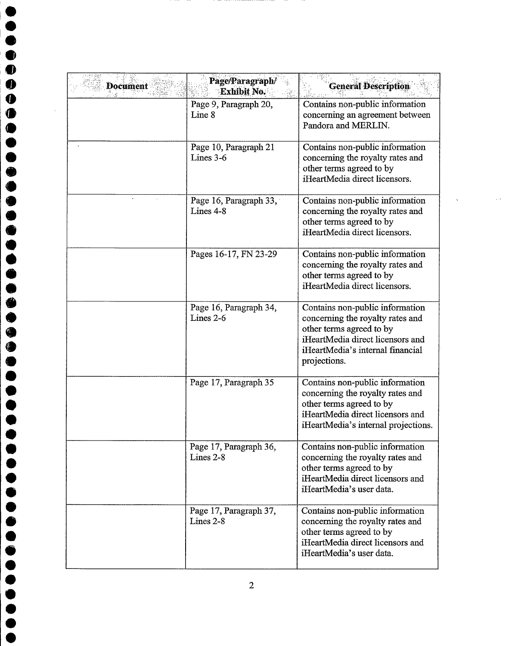| <b>Document</b> | Page/Paragraph/<br><b>Exhibit No.</b> | <b>General Description</b>                                                                                                                                                              |
|-----------------|---------------------------------------|-----------------------------------------------------------------------------------------------------------------------------------------------------------------------------------------|
|                 | Page 9, Paragraph 20,<br>Line 8       | Contains non-public information<br>concerning an agreement between<br>Pandora and MERLIN.                                                                                               |
|                 | Page 10, Paragraph 21<br>Lines $3-6$  | Contains non-public information<br>concerning the royalty rates and<br>other terms agreed to by<br>iHeartMedia direct licensors.                                                        |
|                 | Page 16, Paragraph 33,<br>Lines 4-8   | Contains non-public information<br>concerning the royalty rates and<br>other terms agreed to by<br>iHeartMedia direct licensors.                                                        |
|                 | Pages 16-17, FN 23-29                 | Contains non-public information<br>concerning the royalty rates and<br>other terms agreed to by<br>iHeartMedia direct licensors.                                                        |
|                 | Page 16, Paragraph 34,<br>Lines 2-6   | Contains non-public information<br>concerning the royalty rates and<br>other terms agreed to by<br>iHeartMedia direct licensors and<br>iHeartMedia's internal financial<br>projections. |
|                 | Page 17, Paragraph 35                 | Contains non-public information<br>concerning the royalty rates and<br>other terms agreed to by<br>iHeartMedia direct licensors and<br>iHeartMedia's internal projections.              |
|                 | Page 17, Paragraph 36,<br>Lines 2-8   | Contains non-public information<br>concerning the royalty rates and<br>other terms agreed to by<br>iHeartMedia direct licensors and<br>iHeartMedia's user data.                         |
|                 | Page 17, Paragraph 37,<br>Lines $2-8$ | Contains non-public information<br>concerning the royalty rates and<br>other terms agreed to by<br>iHeartMedia direct licensors and<br>iHeartMedia's user data.                         |

 $\overline{2}$ 

D  $\bullet$  $\ddot{\bullet}$  $\ddot{\bullet}$  $\bullet$  $\bullet$  $\bullet$ 

 $\bullet$ 

 $\bullet$ 

 $\bullet$ 

**OOOO** 

 $\bullet$  $\bullet$  $\ddot{\bullet}$  $\ddot{\bullet}$  $\bullet$  $\bullet$ 

---

 $\bullet$  $\bullet$  $\bullet$  $\bullet$  $\bullet$  $\bullet$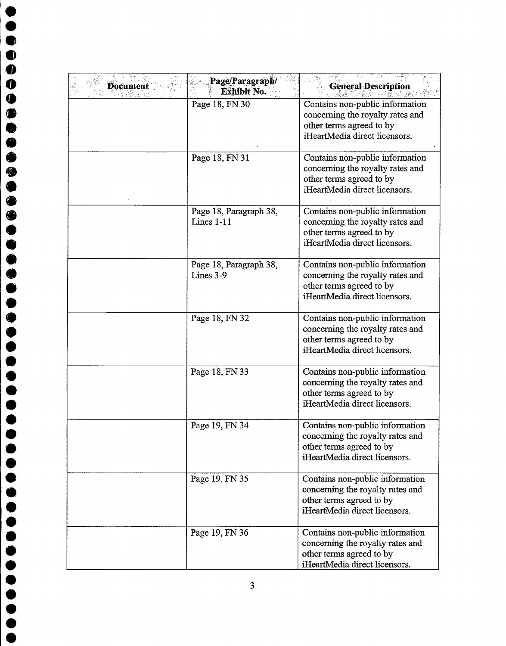| <b>Document</b> | Page/Paragraph/<br><b>Exhibit No.</b> | <b>General Description</b>                                                                                                       |
|-----------------|---------------------------------------|----------------------------------------------------------------------------------------------------------------------------------|
|                 | Page 18, FN 30                        | Contains non-public information<br>concerning the royalty rates and<br>other terms agreed to by<br>iHeartMedia direct licensors. |
|                 | Page 18, FN 31                        | Contains non-public information<br>concerning the royalty rates and<br>other terms agreed to by<br>iHeartMedia direct licensors. |
|                 | Page 18, Paragraph 38,<br>Lines 1-11  | Contains non-public information<br>concerning the royalty rates and<br>other terms agreed to by<br>iHeartMedia direct licensors. |
|                 | Page 18, Paragraph 38,<br>Lines 3-9   | Contains non-public information<br>concerning the royalty rates and<br>other terms agreed to by<br>iHeartMedia direct licensors. |
|                 | Page 18, FN 32                        | Contains non-public information<br>concerning the royalty rates and<br>other terms agreed to by<br>iHeartMedia direct licensors. |
|                 | Page 18, FN 33                        | Contains non-public information<br>concerning the royalty rates and<br>other terms agreed to by<br>iHeartMedia direct licensors. |
|                 | Page 19, FN 34                        | Contains non-public information<br>concerning the royalty rates and<br>other terms agreed to by<br>iHeartMedia direct licensors. |
|                 | Page 19, FN 35                        | Contains non-public information<br>concerning the royalty rates and<br>other terms agreed to by<br>iHeartMedia direct licensors. |
|                 | Page 19, FN 36                        | Contains non-public information<br>concerning the royalty rates and<br>other terms agreed to by<br>iHeartMedia direct licensors. |

 $\overline{\mathbf{3}}$ 

 $\bullet$ 

 $\bullet$ 

 $\bullet$ 

 $\bullet$ 

 $\bullet$  $\bullet$  $\bullet$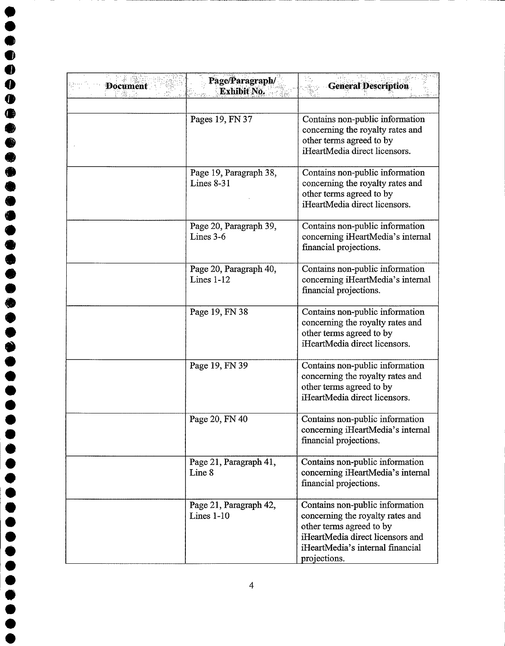| <b>Document</b><br>Fä.s | Page/Paragraph/<br>Exhibit No.         | <b>General Description</b>                                                                                                                                                              |
|-------------------------|----------------------------------------|-----------------------------------------------------------------------------------------------------------------------------------------------------------------------------------------|
|                         | Pages 19, FN 37                        | Contains non-public information<br>concerning the royalty rates and<br>other terms agreed to by<br>iHeartMedia direct licensors.                                                        |
|                         | Page 19, Paragraph 38,<br>Lines $8-31$ | Contains non-public information<br>concerning the royalty rates and<br>other terms agreed to by<br>iHeartMedia direct licensors.                                                        |
|                         | Page 20, Paragraph 39,<br>Lines $3-6$  | Contains non-public information<br>concerning iHeartMedia's internal<br>financial projections.                                                                                          |
|                         | Page 20, Paragraph 40,<br>Lines $1-12$ | Contains non-public information<br>concerning iHeartMedia's internal<br>financial projections.                                                                                          |
|                         | Page 19, FN 38                         | Contains non-public information<br>concerning the royalty rates and<br>other terms agreed to by<br>iHeartMedia direct licensors.                                                        |
|                         | Page 19, FN 39                         | Contains non-public information<br>concerning the royalty rates and<br>other terms agreed to by<br>iHeartMedia direct licensors.                                                        |
|                         | Page 20, FN 40                         | Contains non-public information<br>concerning iHeartMedia's internal<br>financial projections.                                                                                          |
|                         | Page 21, Paragraph 41,<br>Line 8       | Contains non-public information<br>concerning iHeartMedia's internal<br>financial projections.                                                                                          |
|                         | Page 21, Paragraph 42,<br>Lines $1-10$ | Contains non-public information<br>concerning the royalty rates and<br>other terms agreed to by<br>iHeartMedia direct licensors and<br>iHeartMedia's internal financial<br>projections. |

 $\bullet$  $\qquad \qquad \bullet$ 

 $\bullet$ 

♦

....

**99999999** 

**OOOO** 

 $\bullet$  $\bullet$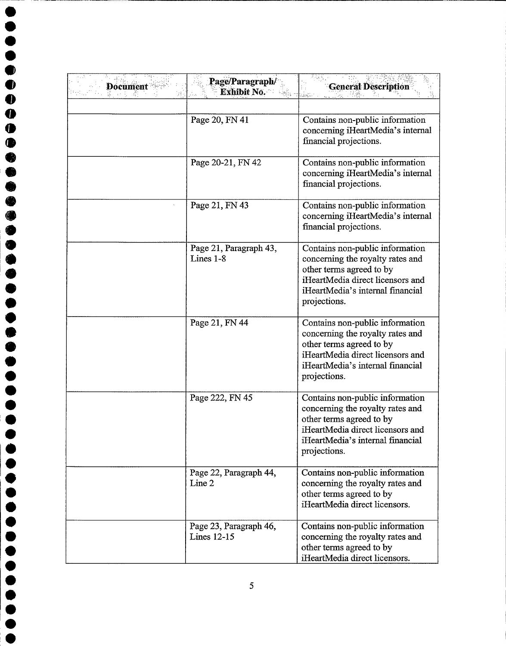| <b>Document</b> | Page/Paragraph/<br>Exhibit No.        | <b>General Description</b>                                                                                                                                                              |
|-----------------|---------------------------------------|-----------------------------------------------------------------------------------------------------------------------------------------------------------------------------------------|
|                 |                                       |                                                                                                                                                                                         |
|                 | Page 20, FN 41                        | Contains non-public information<br>concerning iHeartMedia's internal<br>financial projections.                                                                                          |
|                 | Page 20-21, FN 42                     | Contains non-public information<br>concerning iHeartMedia's internal<br>financial projections.                                                                                          |
|                 | Page 21, FN 43                        | Contains non-public information<br>concerning iHeartMedia's internal<br>financial projections.                                                                                          |
|                 | Page 21, Paragraph 43,<br>Lines 1-8   | Contains non-public information<br>concerning the royalty rates and<br>other terms agreed to by<br>iHeartMedia direct licensors and<br>iHeartMedia's internal financial<br>projections. |
|                 | Page 21, FN 44                        | Contains non-public information<br>concerning the royalty rates and<br>other terms agreed to by<br>iHeartMedia direct licensors and<br>iHeartMedia's internal financial<br>projections. |
|                 | Page 222, FN 45                       | Contains non-public information<br>concerning the royalty rates and<br>other terms agreed to by<br>iHeartMedia direct licensors and<br>iHeartMedia's internal financial<br>projections. |
|                 | Page 22, Paragraph 44,<br>Line 2      | Contains non-public information<br>concerning the royalty rates and<br>other terms agreed to by<br>iHeartMedia direct licensors.                                                        |
|                 | Page 23, Paragraph 46,<br>Lines 12-15 | Contains non-public information<br>concerning the royalty rates and<br>other terms agreed to by<br>iHeartMedia direct licensors.                                                        |

 $\overline{\mathbf{0}}$ 

 $\bullet$  $\bullet$  $\bullet$  $\qquad \qquad \bullet$  $\bullet$ 4  $\bullet$  $\bullet$  $\bullet$ 

 $\bullet$ 

●

 $\begin{bmatrix} 0 \\ 0 \\ 0 \\ 0 \end{bmatrix}$ 

 $\bullet$  $\bullet$  $\bullet$  $\bullet$  $\bullet$ 

 $\bullet$  $\bullet$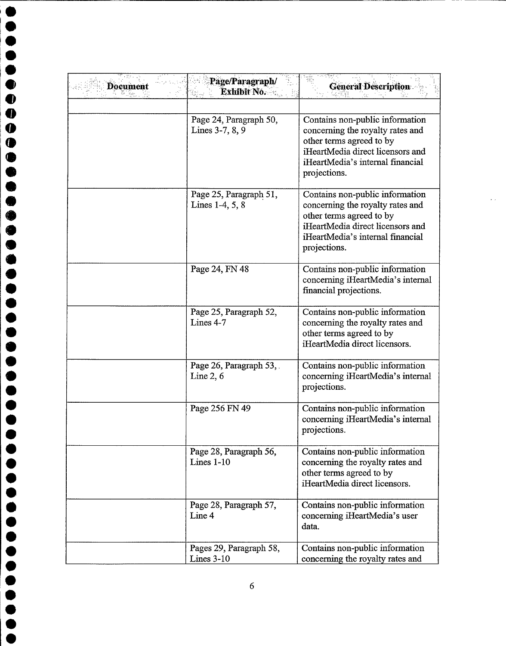| <b>Document</b> | Page/Paragraph/<br><b>Exhibit No.</b>     | <b>General Description</b>                                                                                                                                                              |
|-----------------|-------------------------------------------|-----------------------------------------------------------------------------------------------------------------------------------------------------------------------------------------|
|                 | Page 24, Paragraph 50,<br>Lines 3-7, 8, 9 | Contains non-public information<br>concerning the royalty rates and<br>other terms agreed to by<br>iHeartMedia direct licensors and<br>iHeartMedia's internal financial<br>projections. |
|                 | Page 25, Paragraph 51,<br>Lines 1-4, 5, 8 | Contains non-public information<br>concerning the royalty rates and<br>other terms agreed to by<br>iHeartMedia direct licensors and<br>iHeartMedia's internal financial<br>projections. |
|                 | Page 24, FN 48                            | Contains non-public information<br>concerning iHeartMedia's internal<br>financial projections.                                                                                          |
|                 | Page 25, Paragraph 52,<br>Lines 4-7       | Contains non-public information<br>concerning the royalty rates and<br>other terms agreed to by<br>iHeartMedia direct licensors.                                                        |
|                 | Page 26, Paragraph 53,<br>Line $2, 6$     | Contains non-public information<br>concerning iHeartMedia's internal<br>projections.                                                                                                    |
|                 | Page 256 FN 49                            | Contains non-public information<br>concerning iHeartMedia's internal<br>projections.                                                                                                    |
|                 | Page 28, Paragraph 56,<br>Lines $1-10$    | Contains non-public information<br>concerning the royalty rates and<br>other terms agreed to by<br>iHeartMedia direct licensors.                                                        |
|                 | Page 28, Paragraph 57,<br>Line 4          | Contains non-public information<br>concerning iHeartMedia's user<br>data.                                                                                                               |
|                 | Pages 29, Paragraph 58,<br>Lines $3-10$   | Contains non-public information<br>concerning the royalty rates and                                                                                                                     |

 $\hat{\mathcal{C}}$ 

 $\bullet$ 

 $\bullet$  $\bullet$  $\bullet$  $\ddot{\bullet}$  $\ddot{\bullet}$ 

 $\begin{matrix} \bullet \\ \bullet \\ \bullet \end{matrix}$ 

 $\bullet$ 

**OOOOOO** 

 $\bullet$ 

**OOOO** 

 $\bullet$  $\bullet$ 

 $\bullet$  $\bullet$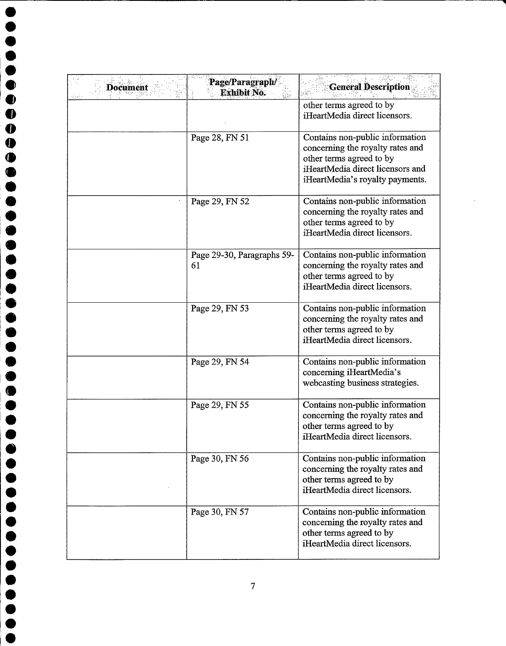| <b>Document</b> | Page/Paragraph/<br>Exhibit No.   | <b>General Description</b>                                                                                                                                             |
|-----------------|----------------------------------|------------------------------------------------------------------------------------------------------------------------------------------------------------------------|
|                 |                                  | other terms agreed to by<br>iHeartMedia direct licensors.                                                                                                              |
|                 | Page 28, FN 51                   | Contains non-public information<br>concerning the royalty rates and<br>other terms agreed to by<br>iHeartMedia direct licensors and<br>iHeartMedia's royalty payments. |
|                 | Page 29, FN 52                   | Contains non-public information<br>concerning the royalty rates and<br>other terms agreed to by<br>iHeartMedia direct licensors.                                       |
|                 | Page 29-30, Paragraphs 59-<br>61 | Contains non-public information<br>concerning the royalty rates and<br>other terms agreed to by<br>iHeartMedia direct licensors.                                       |
|                 | Page 29, FN 53                   | Contains non-public information<br>concerning the royalty rates and<br>other terms agreed to by<br>iHeartMedia direct licensors.                                       |
|                 | Page 29, FN 54                   | Contains non-public information<br>concerning iHeartMedia's<br>webcasting business strategies.                                                                         |
|                 | Page 29, FN 55                   | Contains non-public information<br>concerning the royalty rates and<br>other terms agreed to by<br>iHeartMedia direct licensors.                                       |
|                 | Page 30, FN 56                   | Contains non-public information<br>concerning the royalty rates and<br>other terms agreed to by<br>iHeartMedia direct licensors.                                       |
|                 | Page 30, FN 57                   | Contains non-public information<br>concerning the royalty rates and<br>other terms agreed to by<br>iHeartMedia direct licensors.                                       |

 $\bullet$  $\bullet$  $\ddot{\bullet}$  $\bullet$ 

 $\overline{\mathbf{0}}$ 

 $\bullet$  $\bullet$  $\bullet$  $\bullet$ 

 $\bullet$  $\bullet$ ●  $\bullet$  $\bullet$  $\bullet$  $\bullet$ 

 $\bullet$  $\bullet$ ●  $\bullet$  $\bullet$  $\bullet$  $\bullet$  $\bullet$  $\bullet$  $\bullet$  $\bullet$  $\bullet$  $\bullet$  $\bullet$  $\bullet$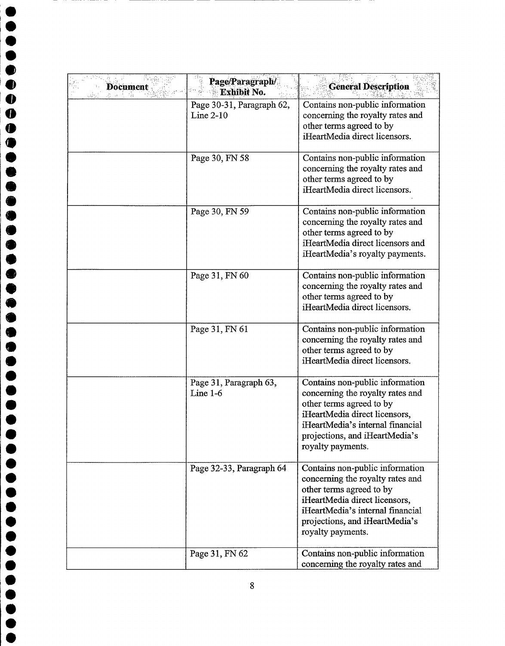| <b>Document</b> | Page/Paragraph/<br>Exhibit No.           | <b>General Description</b>                                                                                                                                                                                                  |
|-----------------|------------------------------------------|-----------------------------------------------------------------------------------------------------------------------------------------------------------------------------------------------------------------------------|
|                 | Page 30-31, Paragraph 62,<br>Line $2-10$ | Contains non-public information<br>concerning the royalty rates and<br>other terms agreed to by<br>iHeartMedia direct licensors.                                                                                            |
|                 | Page 30, FN 58                           | Contains non-public information<br>concerning the royalty rates and<br>other terms agreed to by<br>iHeartMedia direct licensors.                                                                                            |
|                 | Page 30, FN 59                           | Contains non-public information<br>concerning the royalty rates and<br>other terms agreed to by<br>iHeartMedia direct licensors and<br>iHeartMedia's royalty payments.                                                      |
|                 | Page 31, FN 60                           | Contains non-public information<br>concerning the royalty rates and<br>other terms agreed to by<br>iHeartMedia direct licensors.                                                                                            |
|                 | Page 31, FN 61                           | Contains non-public information<br>concerning the royalty rates and<br>other terms agreed to by<br>iHeartMedia direct licensors.                                                                                            |
|                 | Page 31, Paragraph 63,<br>Line $1-6$     | Contains non-public information<br>concerning the royalty rates and<br>other terms agreed to by<br>iHeartMedia direct licensors,<br>iHeartMedia's internal financial<br>projections, and iHeartMedia's<br>royalty payments. |
|                 | Page 32-33, Paragraph 64                 | Contains non-public information<br>concerning the royalty rates and<br>other terms agreed to by<br>iHeartMedia direct licensors,<br>iHeartMedia's internal financial<br>projections, and iHeartMedia's<br>royalty payments. |
|                 | Page 31, FN 62                           | Contains non-public information<br>concerning the royalty rates and                                                                                                                                                         |

 $\bullet$ 

 $\bullet$  $\bullet$ 

 $\begin{array}{c} \bullet \\ \bullet \\ \bullet \end{array}$ 

 $\begin{array}{c}\n\bullet \\
\bullet \\
\bullet\n\end{array}$ 

,,,,,,,,,,

 $\ddot{\bullet}$ 

 $\bullet$ 

 $\bullet$ 

 $\bullet$ 

 $\bullet$  $\bullet$ 

 $\bullet$  $\bullet$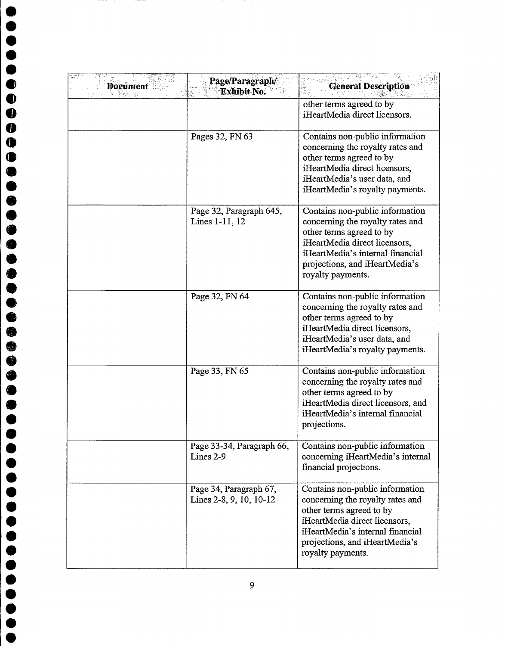| <b>Document</b> | Page/Paragraph/<br><b>Exhibit No.</b>             | <b>General Description</b>                                                                                                                                                                                                  |
|-----------------|---------------------------------------------------|-----------------------------------------------------------------------------------------------------------------------------------------------------------------------------------------------------------------------------|
|                 |                                                   | other terms agreed to by<br>iHeartMedia direct licensors.                                                                                                                                                                   |
|                 | Pages 32, FN 63                                   | Contains non-public information<br>concerning the royalty rates and<br>other terms agreed to by<br>iHeartMedia direct licensors,<br>iHeartMedia's user data, and<br>iHeartMedia's royalty payments.                         |
|                 | Page 32, Paragraph 645,<br>Lines 1-11, 12         | Contains non-public information<br>concerning the royalty rates and<br>other terms agreed to by<br>iHeartMedia direct licensors,<br>iHeartMedia's internal financial<br>projections, and iHeartMedia's<br>royalty payments. |
|                 | Page 32, FN 64                                    | Contains non-public information<br>concerning the royalty rates and<br>other terms agreed to by<br>iHeartMedia direct licensors,<br>iHeartMedia's user data, and<br>iHeartMedia's royalty payments.                         |
|                 | Page 33, FN 65                                    | Contains non-public information<br>concerning the royalty rates and<br>other terms agreed to by<br>iHeartMedia direct licensors, and<br>iHeartMedia's internal financial<br>projections.                                    |
|                 | Page 33-34, Paragraph 66,<br>Lines 2-9            | Contains non-public information<br>concerning iHeartMedia's internal<br>financial projections.                                                                                                                              |
|                 | Page 34, Paragraph 67,<br>Lines 2-8, 9, 10, 10-12 | Contains non-public information<br>concerning the royalty rates and<br>other terms agreed to by<br>iHeartMedia direct licensors,<br>iHeartMedia's internal financial<br>projections, and iHeartMedia's<br>royalty payments. |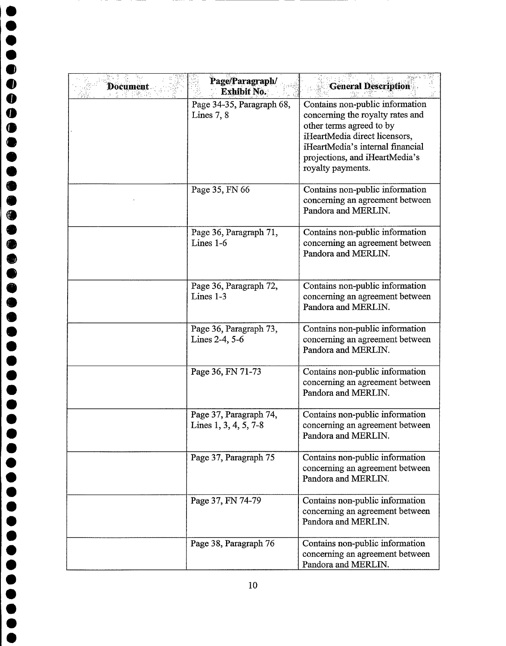| <b>Document</b> | Page/Paragraph/<br>Exhibit No.                  | <b>General Description</b>                                                                                                                                                                                                  |
|-----------------|-------------------------------------------------|-----------------------------------------------------------------------------------------------------------------------------------------------------------------------------------------------------------------------------|
|                 | Page 34-35, Paragraph 68,<br>Lines $7, 8$       | Contains non-public information<br>concerning the royalty rates and<br>other terms agreed to by<br>iHeartMedia direct licensors,<br>iHeartMedia's internal financial<br>projections, and iHeartMedia's<br>royalty payments. |
|                 | Page 35, FN 66                                  | Contains non-public information<br>concerning an agreement between<br>Pandora and MERLIN.                                                                                                                                   |
|                 | Page 36, Paragraph 71,<br>Lines $1-6$           | Contains non-public information<br>concerning an agreement between<br>Pandora and MERLIN.                                                                                                                                   |
|                 | Page 36, Paragraph 72,<br>Lines 1-3             | Contains non-public information<br>concerning an agreement between<br>Pandora and MERLIN.                                                                                                                                   |
|                 | Page 36, Paragraph 73,<br>Lines 2-4, 5-6        | Contains non-public information<br>concerning an agreement between<br>Pandora and MERLIN.                                                                                                                                   |
|                 | Page 36, FN 71-73                               | Contains non-public information<br>concerning an agreement between<br>Pandora and MERLIN.                                                                                                                                   |
|                 | Page 37, Paragraph 74,<br>Lines 1, 3, 4, 5, 7-8 | Contains non-public information<br>concerning an agreement between<br>Pandora and MERLIN.                                                                                                                                   |
|                 | Page 37, Paragraph 75                           | Contains non-public information<br>concerning an agreement between<br>Pandora and MERLIN.                                                                                                                                   |
|                 | Page 37, FN 74-79                               | Contains non-public information<br>concerning an agreement between<br>Pandora and MERLIN.                                                                                                                                   |
|                 | Page 38, Paragraph 76                           | Contains non-public information<br>concerning an agreement between<br>Pandora and MERLIN.                                                                                                                                   |

 $\bullet$  $\bullet$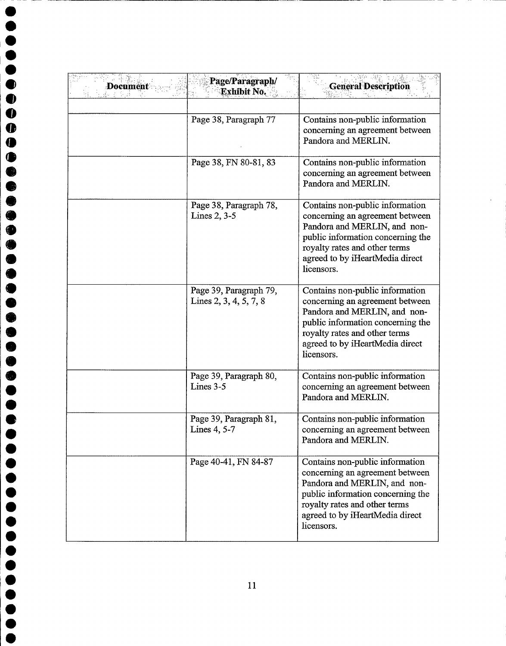| <b>Document</b> | Page/Paragraph/<br>Exhibit No.                   | <b>General Description</b>                                                                                                                                                                                                |
|-----------------|--------------------------------------------------|---------------------------------------------------------------------------------------------------------------------------------------------------------------------------------------------------------------------------|
|                 | Page 38, Paragraph 77                            | Contains non-public information<br>concerning an agreement between<br>Pandora and MERLIN.                                                                                                                                 |
|                 | Page 38, FN 80-81, 83                            | Contains non-public information<br>concerning an agreement between<br>Pandora and MERLIN.                                                                                                                                 |
|                 | Page 38, Paragraph 78,<br>Lines $2, 3-5$         | Contains non-public information<br>concerning an agreement between<br>Pandora and MERLIN, and non-<br>public information concerning the<br>royalty rates and other terms<br>agreed to by iHeartMedia direct<br>licensors. |
|                 | Page 39, Paragraph 79,<br>Lines 2, 3, 4, 5, 7, 8 | Contains non-public information<br>concerning an agreement between<br>Pandora and MERLIN, and non-<br>public information concerning the<br>royalty rates and other terms<br>agreed to by iHeartMedia direct<br>licensors. |
|                 | Page 39, Paragraph 80,<br>Lines 3-5              | Contains non-public information<br>concerning an agreement between<br>Pandora and MERLIN.                                                                                                                                 |
|                 | Page 39, Paragraph 81,<br>Lines 4, 5-7           | Contains non-public information<br>concerning an agreement between<br>Pandora and MERLIN.                                                                                                                                 |
|                 | Page 40-41, FN 84-87                             | Contains non-public information<br>concerning an agreement between<br>Pandora and MERLIN, and non-<br>public information concerning the<br>royalty rates and other terms<br>agreed to by iHeartMedia direct<br>licensors. |

 $\sim$ 

**.** 

 $\bullet$ 

 $\bullet$ 

**0000** 

 $\begin{matrix} \bullet \\ \bullet \\ \bullet \end{matrix}$ 

 $\bullet$  $\bullet$  $\bullet$  $\bullet$ 

 $\ddot{\bullet}$  $\bullet$  $\bullet$  $\bullet$  $\bullet$  $\bullet$  $\bullet$  $\bullet$  $\bullet$  $\bullet$  $\bullet$  $\bullet$  $\bullet$  $\bullet$ 

e

00

 $\bullet$  $\bullet$ 

000

 $\bullet$ C G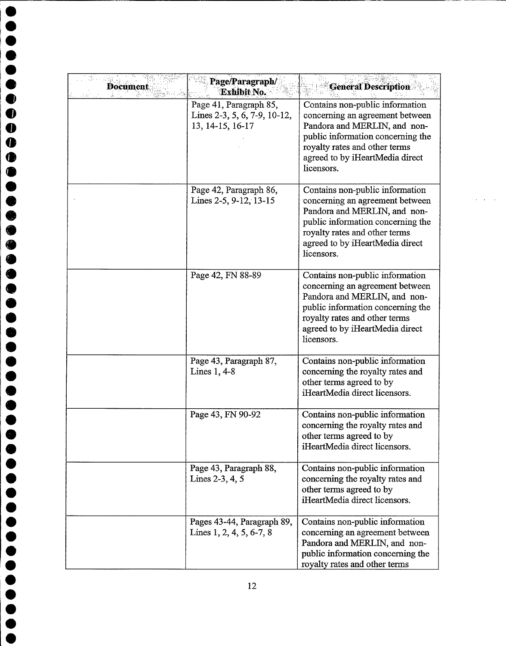| <b>Document</b> | Page/Paragraph/<br><b>Exhibit No.</b>                                      | <b>General Description</b>                                                                                                                                                                                                |
|-----------------|----------------------------------------------------------------------------|---------------------------------------------------------------------------------------------------------------------------------------------------------------------------------------------------------------------------|
|                 | Page 41, Paragraph 85,<br>Lines 2-3, 5, 6, 7-9, 10-12,<br>13, 14-15, 16-17 | Contains non-public information<br>concerning an agreement between<br>Pandora and MERLIN, and non-<br>public information concerning the<br>royalty rates and other terms<br>agreed to by iHeartMedia direct<br>licensors. |
|                 | Page 42, Paragraph 86,<br>Lines 2-5, 9-12, 13-15                           | Contains non-public information<br>concerning an agreement between<br>Pandora and MERLIN, and non-<br>public information concerning the<br>royalty rates and other terms<br>agreed to by iHeartMedia direct<br>licensors. |
|                 | Page 42, FN 88-89                                                          | Contains non-public information<br>concerning an agreement between<br>Pandora and MERLIN, and non-<br>public information concerning the<br>royalty rates and other terms<br>agreed to by iHeartMedia direct<br>licensors. |
|                 | Page 43, Paragraph 87,<br>Lines 1, 4-8                                     | Contains non-public information<br>concerning the royalty rates and<br>other terms agreed to by<br>iHeartMedia direct licensors.                                                                                          |
|                 | Page 43, FN 90-92                                                          | Contains non-public information<br>concerning the royalty rates and<br>other terms agreed to by<br>iHeartMedia direct licensors.                                                                                          |
|                 | Page 43, Paragraph 88,<br>Lines $2-3, 4, 5$                                | Contains non-public information<br>concerning the royalty rates and<br>other terms agreed to by<br>iHeartMedia direct licensors.                                                                                          |
|                 | Pages 43-44, Paragraph 89,<br>Lines $1, 2, 4, 5, 6-7, 8$                   | Contains non-public information<br>concerning an agreement between<br>Pandora and MERLIN, and non-<br>public information concerning the<br>royalty rates and other terms                                                  |

 $\omega_{\rm{max}}$  and

 $\bullet$ 

O

 $\bullet$ 

 $\bullet$ 

 $\bullet$  $\bullet$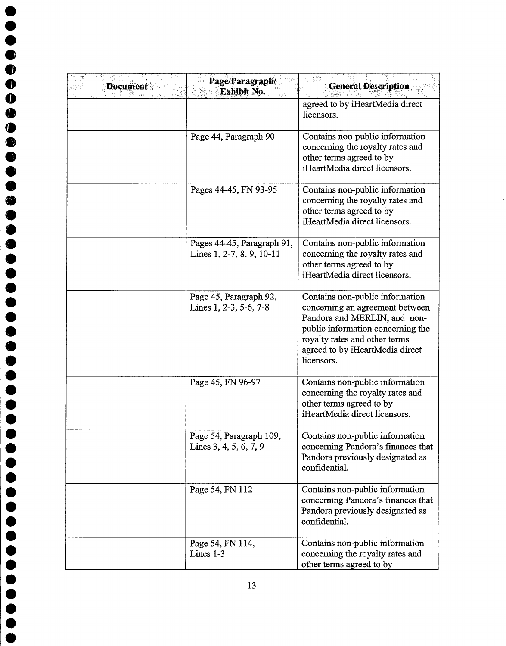| <b>Document</b> | Page/Paragraph/<br>Exhibit No.                          | <b>General Description</b>                                                                                                                                                                                                |
|-----------------|---------------------------------------------------------|---------------------------------------------------------------------------------------------------------------------------------------------------------------------------------------------------------------------------|
|                 |                                                         | agreed to by iHeartMedia direct<br>licensors.                                                                                                                                                                             |
|                 | Page 44, Paragraph 90                                   | Contains non-public information<br>concerning the royalty rates and<br>other terms agreed to by<br>iHeartMedia direct licensors.                                                                                          |
|                 | Pages 44-45, FN 93-95                                   | Contains non-public information<br>concerning the royalty rates and<br>other terms agreed to by<br>iHeartMedia direct licensors.                                                                                          |
|                 | Pages 44-45, Paragraph 91,<br>Lines 1, 2-7, 8, 9, 10-11 | Contains non-public information<br>concerning the royalty rates and<br>other terms agreed to by<br>iHeartMedia direct licensors.                                                                                          |
|                 | Page 45, Paragraph 92,<br>Lines 1, 2-3, 5-6, 7-8        | Contains non-public information<br>concerning an agreement between<br>Pandora and MERLIN, and non-<br>public information concerning the<br>royalty rates and other terms<br>agreed to by iHeartMedia direct<br>licensors. |
|                 | Page 45, FN 96-97                                       | Contains non-public information<br>concerning the royalty rates and<br>other terms agreed to by<br>iHeartMedia direct licensors.                                                                                          |
|                 | Page 54, Paragraph 109,<br>Lines 3, 4, 5, 6, 7, 9       | Contains non-public information<br>concerning Pandora's finances that<br>Pandora previously designated as<br>confidential.                                                                                                |
|                 | Page 54, FN 112                                         | Contains non-public information<br>concerning Pandora's finances that<br>Pandora previously designated as<br>confidential.                                                                                                |
|                 | Page 54, FN 114,<br>Lines 1-3                           | Contains non-public information<br>concerning the royalty rates and<br>other terms agreed to by                                                                                                                           |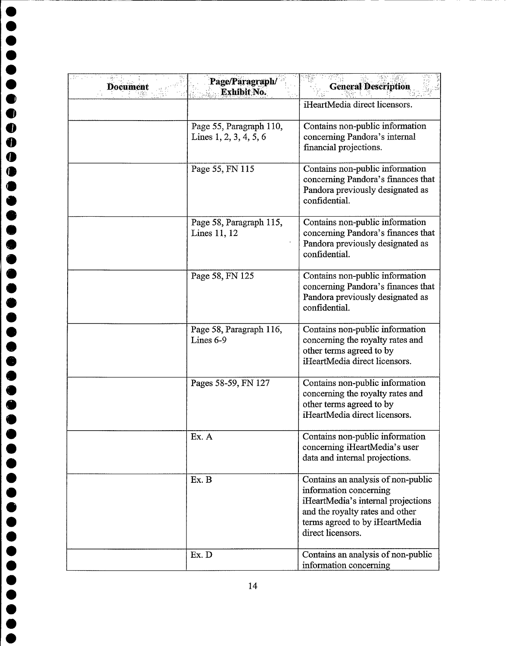| <b>Document</b> | Page/Paragraph/<br>Exhibit No.                      | <b>General Description</b>                                                                                                                                                                   |
|-----------------|-----------------------------------------------------|----------------------------------------------------------------------------------------------------------------------------------------------------------------------------------------------|
|                 |                                                     | iHeartMedia direct licensors.                                                                                                                                                                |
|                 | Page 55, Paragraph 110,<br>Lines $1, 2, 3, 4, 5, 6$ | Contains non-public information<br>concerning Pandora's internal<br>financial projections.                                                                                                   |
|                 | Page 55, FN 115                                     | Contains non-public information<br>concerning Pandora's finances that<br>Pandora previously designated as<br>confidential.                                                                   |
|                 | Page 58, Paragraph 115,<br>Lines 11, 12             | Contains non-public information<br>concerning Pandora's finances that<br>Pandora previously designated as<br>confidential.                                                                   |
|                 | Page 58, FN 125                                     | Contains non-public information<br>concerning Pandora's finances that<br>Pandora previously designated as<br>confidential.                                                                   |
|                 | Page 58, Paragraph 116,<br>Lines 6-9                | Contains non-public information<br>concerning the royalty rates and<br>other terms agreed to by<br>iHeartMedia direct licensors.                                                             |
|                 | Pages 58-59, FN 127                                 | Contains non-public information<br>concerning the royalty rates and<br>other terms agreed to by<br>iHeartMedia direct licensors.                                                             |
|                 | Ex. A                                               | Contains non-public information<br>concerning iHeartMedia's user<br>data and internal projections.                                                                                           |
|                 | Ex. B                                               | Contains an analysis of non-public<br>information concerning<br>iHeartMedia's internal projections<br>and the royalty rates and other<br>terms agreed to by iHeartMedia<br>direct licensors. |
|                 | Ex. D                                               | Contains an analysis of non-public<br>information concerning                                                                                                                                 |

14

000

000

e00I0

 $\bullet$  $\ddot{\bullet}$  $\bullet$  $\ddot{\bullet}$  $\bullet$ 

Jeen

**..........** 

**...........** 

**000** 

**00** 

<u>.<br>
•<br>
•<br>
•</u>

 $\bullet$ 

D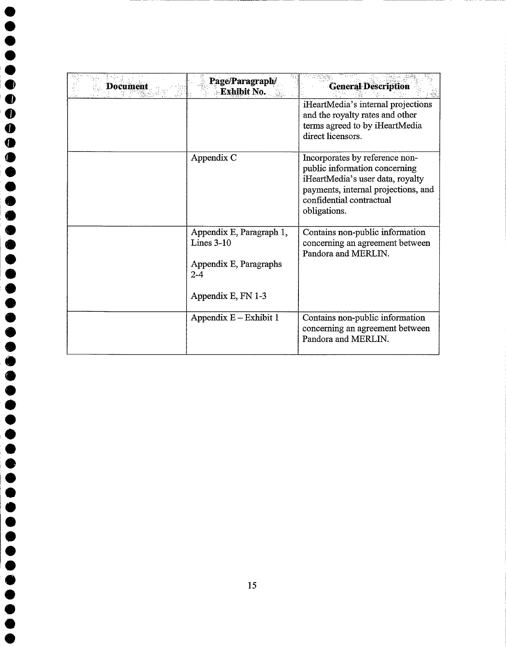| Document | Page/Paragraph/<br><b>Exhibit No.</b>                                         | <b>General Description</b>                                                                                                                                                             |
|----------|-------------------------------------------------------------------------------|----------------------------------------------------------------------------------------------------------------------------------------------------------------------------------------|
|          |                                                                               | iHeartMedia's internal projections<br>and the royalty rates and other<br>terms agreed to by iHeartMedia<br>direct licensors.                                                           |
|          | Appendix C                                                                    | Incorporates by reference non-<br>public information concerning<br>iHeartMedia's user data, royalty<br>payments, internal projections, and<br>confidential contractual<br>obligations. |
|          | Appendix E, Paragraph 1,<br>Lines $3-10$<br>Appendix E, Paragraphs<br>$2 - 4$ | Contains non-public information<br>concerning an agreement between<br>Pandora and MERLIN.                                                                                              |
|          | Appendix E, FN 1-3                                                            |                                                                                                                                                                                        |
|          | Appendix $E -$ Exhibit 1                                                      | Contains non-public information<br>concerning an agreement between<br>Pandora and MERLIN.                                                                                              |

 $\bullet$  $\bullet$ 

 $\begin{bmatrix} 0 \\ 0 \\ 0 \end{bmatrix}$ 

 $\qquad \qquad \bullet$  $\bullet$  $\bullet$  $\bullet$  $\bullet$  $\bullet$  $\bullet$ 

 $\bullet$ 

 $\bullet$ 

 $\bullet$ 

 $\bullet$  $\bullet$  $\bullet$  $\bullet$ 

 $\blacklozenge$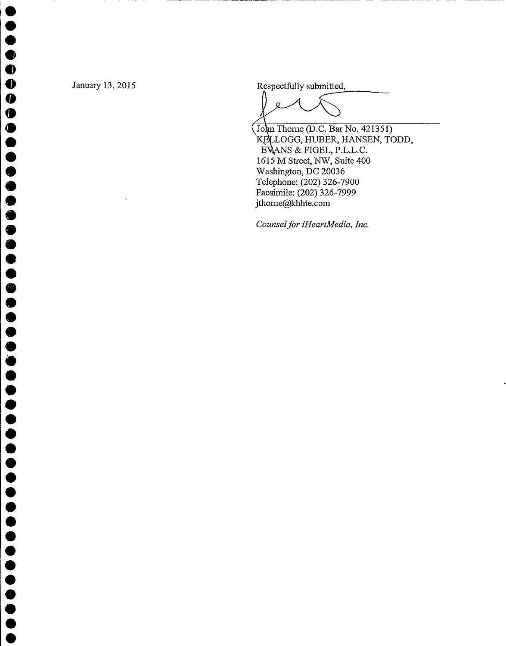$\bullet$  $\bullet$  $\bullet$  $\bullet$  $\bullet$  $\bullet$ 

 $\bullet$  $\bullet$  $\bullet$  $\bullet$  $\bullet$  $\bullet$ 

 $\bullet$  $\bullet$  $\bullet$  $\bullet$  $\bullet$  $\bullet$ 

 $\bullet$ 

 $\bullet$ 

 $\bullet$ 

 $\bullet$  $\bullet$  $\bullet$  $\bullet$  $\bullet$  $\bullet$  January 13, 2015 Respectfully submitted,

John Thorne (D.C. Bar No. 421351) KELLOGG, HUBER, HANSEN, TODD, EVANS & FIGEL, P.L.L.C. 1615 M Street, NW, Suite 400 Washington, DC 20036 Telephone: (202) 326-7900 Facsimile: (202) 326-7999 jthorne@khhte.com

Counsel for iHeartMedia, Inc.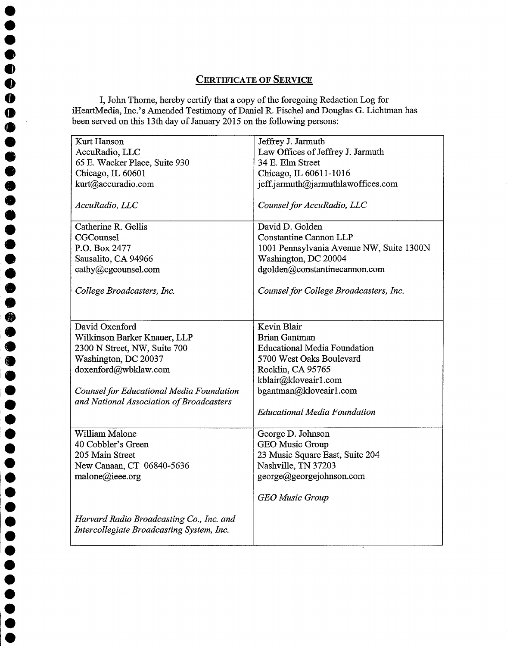## CERTIFICATE OF SERVICE

I, John Thorne, hereby certify that a copy of the foregoing Redaction Log for iHeartMedia, Inc.'s Amended Testimony of Daniel R. Fischel and Douglas G. Lichtman has been served on this 13th day of January 2015 on the following persons:

 $\bullet$  $\bullet$  $\bullet$  $\bullet$  $\bullet$ 

 $\bullet$ 

 $\bullet$ 

 $\bullet$ 

 $\bullet$ 

| Kurt Hanson                                                                                 | Jeffrey J. Jarmuth                       |
|---------------------------------------------------------------------------------------------|------------------------------------------|
| AccuRadio, LLC                                                                              | Law Offices of Jeffrey J. Jarmuth        |
| 65 E. Wacker Place, Suite 930                                                               | 34 E. Elm Street                         |
| Chicago, IL 60601                                                                           | Chicago, IL 60611-1016                   |
| kurt@accuradio.com                                                                          | jeff.jarmuth@jarmuthlawoffices.com       |
|                                                                                             |                                          |
| AccuRadio, LLC                                                                              | Counsel for AccuRadio, LLC               |
| Catherine R. Gellis                                                                         | David D. Golden                          |
| CGCounsel                                                                                   | <b>Constantine Cannon LLP</b>            |
| P.O. Box 2477                                                                               | 1001 Pennsylvania Avenue NW, Suite 1300N |
| Sausalito, CA 94966                                                                         | Washington, DC 20004                     |
| cathy@cgcounsel.com                                                                         | dgolden@constantinecannon.com            |
|                                                                                             |                                          |
| College Broadcasters, Inc.                                                                  | Counsel for College Broadcasters, Inc.   |
|                                                                                             |                                          |
|                                                                                             |                                          |
| David Oxenford                                                                              | Kevin Blair                              |
| Wilkinson Barker Knauer, LLP                                                                | <b>Brian Gantman</b>                     |
| 2300 N Street, NW, Suite 700                                                                | <b>Educational Media Foundation</b>      |
| Washington, DC 20037                                                                        | 5700 West Oaks Boulevard                 |
| doxenford@wbklaw.com                                                                        | Rocklin, CA 95765                        |
|                                                                                             | kblair@kloveair1.com                     |
| <b>Counsel for Educational Media Foundation</b><br>and National Association of Broadcasters | bgantman@kloveair1.com                   |
|                                                                                             | <b>Educational Media Foundation</b>      |
|                                                                                             |                                          |
| William Malone                                                                              | George D. Johnson                        |
| 40 Cobbler's Green                                                                          | GEO Music Group                          |
| 205 Main Street                                                                             | 23 Music Square East, Suite 204          |
| New Canaan, CT 06840-5636                                                                   | Nashville, TN 37203                      |
| malone@ieee.org                                                                             | george@georgejohnson.com                 |
|                                                                                             | <b>GEO</b> Music Group                   |
| Harvard Radio Broadcasting Co., Inc. and<br>Intercollegiate Broadcasting System, Inc.       |                                          |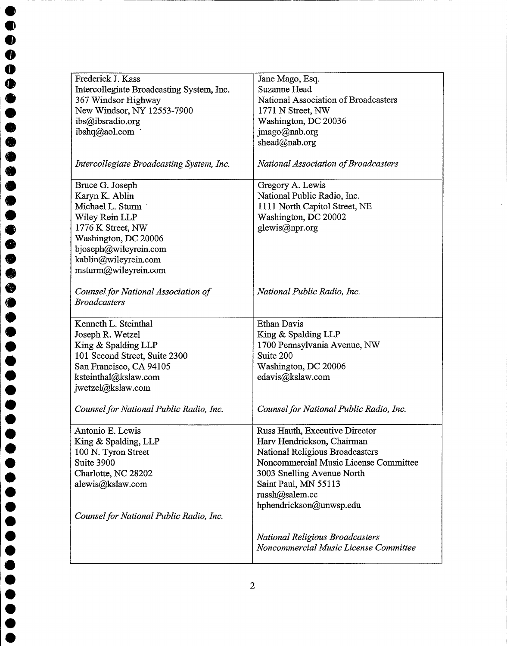|            | Frederick J. Kass                         | Jane Mago, Esq.                         |
|------------|-------------------------------------------|-----------------------------------------|
|            | Intercollegiate Broadcasting System, Inc. | Suzanne Head                            |
|            | 367 Windsor Highway                       | National Association of Broadcasters    |
|            | New Windsor, NY 12553-7900                | 1771 N Street, NW                       |
|            | ibs@ibsradio.org                          | Washington, DC 20036                    |
|            | ibshq@aol.com                             | jmago@nab.org                           |
|            |                                           | shead@nab.org                           |
|            |                                           |                                         |
|            | Intercollegiate Broadcasting System, Inc. | National Association of Broadcasters    |
|            |                                           |                                         |
|            | Bruce G. Joseph                           | Gregory A. Lewis                        |
|            | Karyn K. Ablin                            | National Public Radio, Inc.             |
|            | Michael L. Sturm                          | 1111 North Capitol Street, NE           |
|            | Wiley Rein LLP                            | Washington, DC 20002                    |
|            | 1776 K Street, NW                         | glewis@npr.org                          |
|            | Washington, DC 20006                      |                                         |
|            | bjoseph@wileyrein.com                     |                                         |
|            | kablin@wileyrein.com                      |                                         |
|            | msturm@wileyrein.com                      |                                         |
|            |                                           |                                         |
|            | Counsel for National Association of       | National Public Radio, Inc.             |
|            | <b>Broadcasters</b>                       |                                         |
|            |                                           |                                         |
|            | Kenneth L. Steinthal                      | <b>Ethan Davis</b>                      |
|            | Joseph R. Wetzel                          | King & Spalding LLP                     |
|            | King & Spalding LLP                       | 1700 Pennsylvania Avenue, NW            |
|            | 101 Second Street, Suite 2300             | Suite 200                               |
|            | San Francisco, CA 94105                   | Washington, DC 20006                    |
|            | ksteinthal@kslaw.com                      | edavis@kslaw.com                        |
|            | jwetzel@kslaw.com                         |                                         |
|            |                                           |                                         |
|            | Counsel for National Public Radio, Inc.   | Counsel for National Public Radio, Inc. |
|            |                                           |                                         |
|            | Antonio E. Lewis                          | Russ Hauth, Executive Director          |
|            | King & Spalding, LLP                      | Harv Hendrickson, Chairman              |
|            | 100 N. Tyron Street                       | National Religious Broadcasters         |
| Suite 3900 |                                           | Noncommercial Music License Committee   |
|            | Charlotte, NC 28202                       | 3003 Snelling Avenue North              |
|            | alewis@kslaw.com                          | Saint Paul, MN 55113                    |
|            |                                           | russh@salem.cc                          |
|            |                                           | hphendrickson@unwsp.edu                 |
|            |                                           |                                         |
|            | Counsel for National Public Radio, Inc.   |                                         |
|            |                                           | <b>National Religious Broadcasters</b>  |
|            |                                           | Noncommercial Music License Committee   |
|            |                                           |                                         |
|            |                                           |                                         |

 $\bullet$  $\bullet$ 

 $\bullet$  $\bullet$ 

 $\bullet$ 

 $\bullet$ 

 $\bullet$  $\bullet$  $\bullet$ 

**OOOO** 

 $\bullet$ 

 $\bullet$ 

 $\bullet$ 

 $\bullet$ 

 $\bullet$  $\bullet$  $\bullet$  $\bullet$  $\bullet$  $\bullet$  $\bullet$  $\bullet$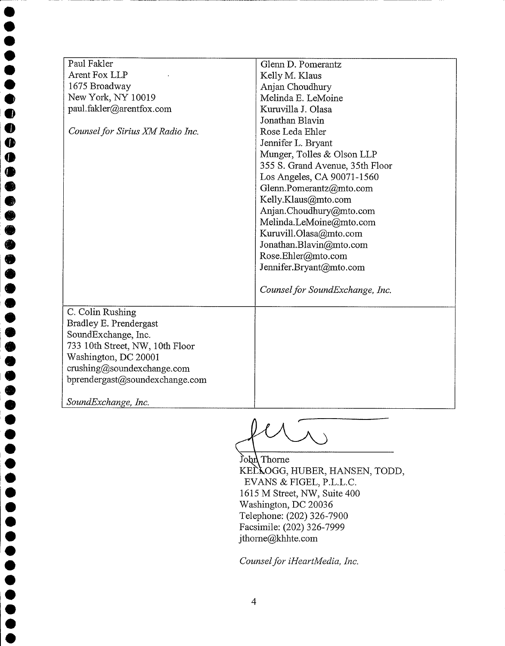| Paul Fakler                      | Glenn D. Pomerantz              |
|----------------------------------|---------------------------------|
| Arent Fox LLP                    | Kelly M. Klaus                  |
| 1675 Broadway                    | Anjan Choudhury                 |
| New York, NY 10019               | Melinda E. LeMoine              |
| paul.fakler@arentfox.com         | Kuruvilla J. Olasa              |
|                                  | Jonathan Blavin                 |
| Counsel for Sirius XM Radio Inc. | Rose Leda Ehler                 |
|                                  | Jennifer L. Bryant              |
|                                  | Munger, Tolles & Olson LLP      |
|                                  | 355 S. Grand Avenue, 35th Floor |
|                                  | Los Angeles, CA 90071-1560      |
|                                  | Glenn.Pomerantz@mto.com         |
|                                  | Kelly.Klaus@mto.com             |
|                                  | Anjan.Choudhury@mto.com         |
|                                  | Melinda.LeMoine@mto.com         |
|                                  | Kuruvill.Olasa@mto.com          |
|                                  | Jonathan.Blavin@mto.com         |
|                                  | Rose.Ehler@mto.com              |
|                                  | Jennifer.Bryant@mto.com         |
|                                  | Counsel for SoundExchange, Inc. |
| C. Colin Rushing                 |                                 |
| Bradley E. Prendergast           |                                 |
| SoundExchange, Inc.              |                                 |
| 733 10th Street, NW, 10th Floor  |                                 |
| Washington, DC 20001             |                                 |
| crusing@soundexchange.com        |                                 |
| bprendergast@soundexchange.com   |                                 |
| SoundExchange, Inc.              |                                 |

 $\ddot{\bullet}$  $\ddot{\bullet}$  $\check{\bullet}$  $\ddot{\bullet}$ e

 $\bullet$ 

 $\bullet$ 

 $\bullet$  $\bullet$  $\bullet$  $\bullet$ 

O  $\ddot{\bullet}$ **.** 

 $\bullet$ 

lO

 $\bullet$ 

 $\bullet$ 

 $\ddot{\bullet}$  $\ddot{\bullet}$ 

John Thorne

KELLOGG, HUBER, HANSEN, TODD, EVANS & FIGEL, P.L.L.C. 1615 M Street, NW, Suite 400 Washington, DC 20036 Telephone: (202) 326-7900 Facsimile: (202) 326-7999 jthorne@khhte.com

Counsel for iHeartMedia, Inc.